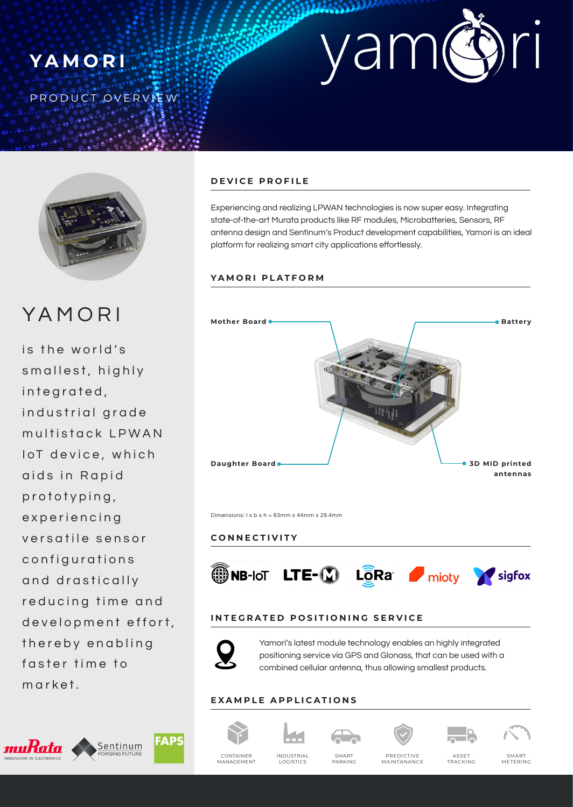





YAMORI

is the world's smallest, highly integrated, industrial grade multistack LPWAN IoT device, which aids in Rapid prototyping, experiencing versatile sensor configurations and drastically reducing time and development effort, thereby enabling faster time to market.



## **DEVICE PROFILE**

Experiencing and realizing LPWAN technologies is now super easy. Integrating state-of-the-art Murata products like RF modules, Microbatteries, Sensors, RF antenna design and Sentinum's Product development capabilities, Yamori is an ideal platform for realizing smart city applications effortlessly.

### **YAMORI PLATFORM**



Dimensions: l x b x h = 63mm x 44mm x 29.4mm

#### **CONNECTIVITY**



### **INTEGRATED POSITIONING SERVICE**



Yamori's latest module technology enables an highly integrated positioning service via GPS and Glonass, that can be used with a combined cellular antenna, thus allowing smallest products.

#### **EXAMPLE APPLICATIONS**





SMART PARKING







CONTAINER MANAGEMENT

INDUSTRIAL LOGISTICS

PREDICTIVE MAINTANANCE

ASSET TRACKING

SMART METERING